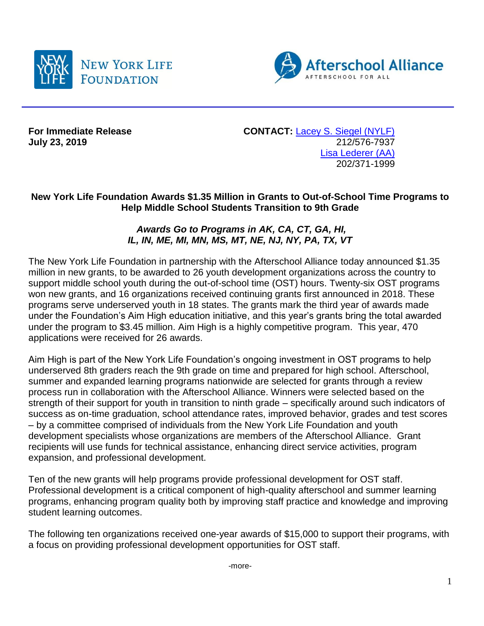



**July 23, 2019** 

**For Immediate Release CONTACT:** [Lacey S. Siegel \(NYLF\)](mailto:lacey_s_siegel@newyorklife.com?subject=New%20York%20Life%20Fdtn/Afterschool%20Alliance)<br>July 23, 2019 212/576-7937 [Lisa Lederer](mailto:lisa@prsolutionsdc.com?subject=New%20York%20Life%20Fdtn/Afterschool%20Alliance) (AA) 202/371-1999

## **New York Life Foundation Awards \$1.35 Million in Grants to Out-of-School Time Programs to Help Middle School Students Transition to 9th Grade**

## *Awards Go to Programs in AK, CA, CT, GA, HI, IL, IN, ME, MI, MN, MS, MT, NE, NJ, NY, PA, TX, VT*

The New York Life Foundation in partnership with the Afterschool Alliance today announced \$1.35 million in new grants, to be awarded to 26 youth development organizations across the country to support middle school youth during the out-of-school time (OST) hours. Twenty-six OST programs won new grants, and 16 organizations received continuing grants first announced in 2018. These programs serve underserved youth in 18 states. The grants mark the third year of awards made under the Foundation's Aim High education initiative, and this year's grants bring the total awarded under the program to \$3.45 million. Aim High is a highly competitive program. This year, 470 applications were received for 26 awards.

Aim High is part of the New York Life Foundation's ongoing investment in OST programs to help underserved 8th graders reach the 9th grade on time and prepared for high school. Afterschool, summer and expanded learning programs nationwide are selected for grants through a review process run in collaboration with the Afterschool Alliance. Winners were selected based on the strength of their support for youth in transition to ninth grade – specifically around such indicators of success as on-time graduation, school attendance rates, improved behavior, grades and test scores – by a committee comprised of individuals from the New York Life Foundation and youth development specialists whose organizations are members of the Afterschool Alliance. Grant recipients will use funds for technical assistance, enhancing direct service activities, program expansion, and professional development.

Ten of the new grants will help programs provide professional development for OST staff. Professional development is a critical component of high-quality afterschool and summer learning programs, enhancing program quality both by improving staff practice and knowledge and improving student learning outcomes.

The following ten organizations received one-year awards of \$15,000 to support their programs, with a focus on providing professional development opportunities for OST staff.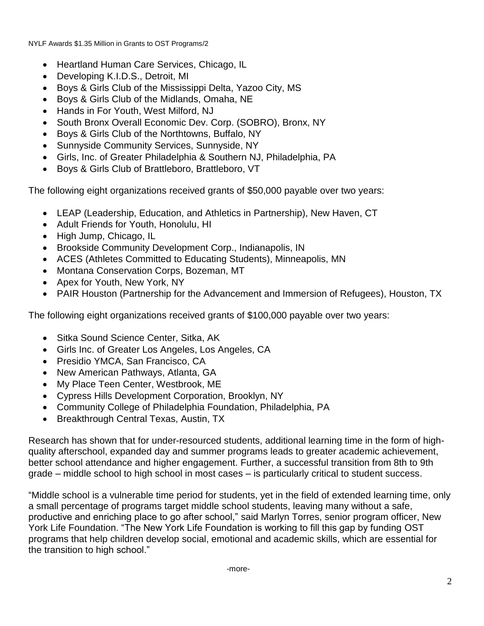NYLF Awards \$1.35 Million in Grants to OST Programs/2

- Heartland Human Care Services, Chicago, IL
- Developing K.I.D.S., Detroit, MI
- Boys & Girls Club of the Mississippi Delta, Yazoo City, MS
- Boys & Girls Club of the Midlands, Omaha, NE
- Hands in For Youth, West Milford, NJ
- South Bronx Overall Economic Dev. Corp. (SOBRO), Bronx, NY
- Boys & Girls Club of the Northtowns, Buffalo, NY
- Sunnyside Community Services, Sunnyside, NY
- Girls, Inc. of Greater Philadelphia & Southern NJ, Philadelphia, PA
- Boys & Girls Club of Brattleboro, Brattleboro, VT

The following eight organizations received grants of \$50,000 payable over two years:

- LEAP (Leadership, Education, and Athletics in Partnership), New Haven, CT
- Adult Friends for Youth, Honolulu, HI
- High Jump, Chicago, IL
- Brookside Community Development Corp., Indianapolis, IN
- ACES (Athletes Committed to Educating Students), Minneapolis, MN
- Montana Conservation Corps, Bozeman, MT
- Apex for Youth, New York, NY
- PAIR Houston (Partnership for the Advancement and Immersion of Refugees), Houston, TX

The following eight organizations received grants of \$100,000 payable over two years:

- Sitka Sound Science Center, Sitka, AK
- Girls Inc. of Greater Los Angeles, Los Angeles, CA
- Presidio YMCA, San Francisco, CA
- New American Pathways, Atlanta, GA
- My Place Teen Center, Westbrook, ME
- Cypress Hills Development Corporation, Brooklyn, NY
- Community College of Philadelphia Foundation, Philadelphia, PA
- Breakthrough Central Texas, Austin, TX

Research has shown that for under-resourced students, additional learning time in the form of highquality afterschool, expanded day and summer programs leads to greater academic achievement, better school attendance and higher engagement. Further, a successful transition from 8th to 9th grade – middle school to high school in most cases – is particularly critical to student success.

"Middle school is a vulnerable time period for students, yet in the field of extended learning time, only a small percentage of programs target middle school students, leaving many without a safe, productive and enriching place to go after school," said Marlyn Torres, senior program officer, New York Life Foundation. "The New York Life Foundation is working to fill this gap by funding OST programs that help children develop social, emotional and academic skills, which are essential for the transition to high school."